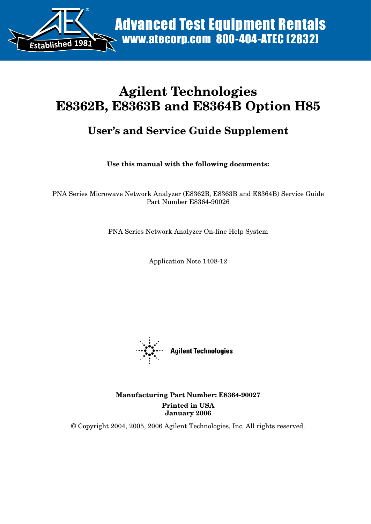

# **Agilent Technologies E8362B, E8363B and E8364B Option H85**

# **User's and Service Guide Supplement**

**Use this manual with the following documents:**

PNA Series Microwave Network Analyzer (E8362B, E8363B and E8364B) Service Guide Part Number E8364-90026

PNA Series Network Analyzer On-line Help System

Application Note 1408-12



**Manufacturing Part Number: E8364-90027 Printed in USA January 2006**

© Copyright 2004, 2005, 2006 Agilent Technologies, Inc. All rights reserved.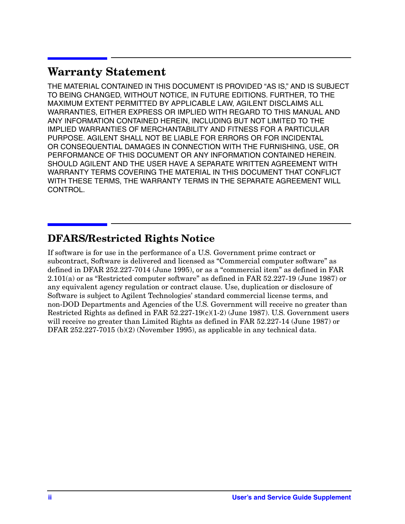# **Warranty Statement**

THE MATERIAL CONTAINED IN THIS DOCUMENT IS PROVIDED "AS IS," AND IS SUBJECT TO BEING CHANGED, WITHOUT NOTICE, IN FUTURE EDITIONS. FURTHER, TO THE MAXIMUM EXTENT PERMITTED BY APPLICABLE LAW, AGILENT DISCLAIMS ALL WARRANTIES, EITHER EXPRESS OR IMPLIED WITH REGARD TO THIS MANUAL AND ANY INFORMATION CONTAINED HEREIN, INCLUDING BUT NOT LIMITED TO THE IMPLIED WARRANTIES OF MERCHANTABILITY AND FITNESS FOR A PARTICULAR PURPOSE. AGILENT SHALL NOT BE LIABLE FOR ERRORS OR FOR INCIDENTAL OR CONSEQUENTIAL DAMAGES IN CONNECTION WITH THE FURNISHING, USE, OR PERFORMANCE OF THIS DOCUMENT OR ANY INFORMATION CONTAINED HEREIN. SHOULD AGILENT AND THE USER HAVE A SEPARATE WRITTEN AGREEMENT WITH WARRANTY TERMS COVERING THE MATERIAL IN THIS DOCUMENT THAT CONFLICT WITH THESE TERMS, THE WARRANTY TERMS IN THE SEPARATE AGREEMENT WILL CONTROL.

## **DFARS/Restricted Rights Notice**

If software is for use in the performance of a U.S. Government prime contract or subcontract, Software is delivered and licensed as "Commercial computer software" as defined in DFAR 252.227-7014 (June 1995), or as a "commercial item" as defined in FAR 2.101(a) or as "Restricted computer software" as defined in FAR 52.227-19 (June 1987) or any equivalent agency regulation or contract clause. Use, duplication or disclosure of Software is subject to Agilent Technologies' standard commercial license terms, and non-DOD Departments and Agencies of the U.S. Government will receive no greater than Restricted Rights as defined in FAR 52.227-19(c)(1-2) (June 1987). U.S. Government users will receive no greater than Limited Rights as defined in FAR 52.227-14 (June 1987) or DFAR 252.227-7015 (b)(2) (November 1995), as applicable in any technical data.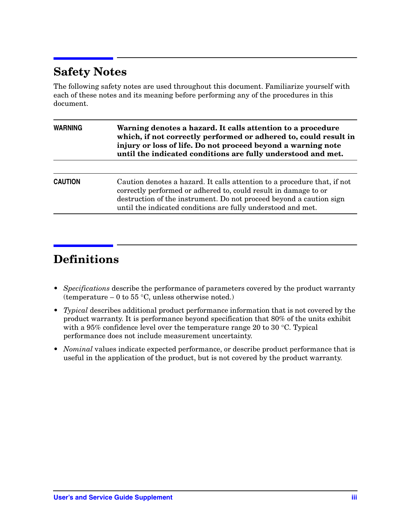# **Safety Notes**

The following safety notes are used throughout this document. Familiarize yourself with each of these notes and its meaning before performing any of the procedures in this document.

| Warning denotes a hazard. It calls attention to a procedure<br>which, if not correctly performed or adhered to, could result in<br>injury or loss of life. Do not proceed beyond a warning note<br>until the indicated conditions are fully understood and met.                    |  |  |
|------------------------------------------------------------------------------------------------------------------------------------------------------------------------------------------------------------------------------------------------------------------------------------|--|--|
|                                                                                                                                                                                                                                                                                    |  |  |
| Caution denotes a hazard. It calls attention to a procedure that, if not<br>correctly performed or adhered to, could result in damage to or<br>destruction of the instrument. Do not proceed beyond a caution sign<br>until the indicated conditions are fully understood and met. |  |  |
|                                                                                                                                                                                                                                                                                    |  |  |

# **Definitions**

- *Specifications* describe the performance of parameters covered by the product warranty (temperature  $-0$  to 55 °C, unless otherwise noted.)
- *Typical* describes additional product performance information that is not covered by the product warranty. It is performance beyond specification that 80% of the units exhibit with a 95% confidence level over the temperature range 20 to 30 °C. Typical performance does not include measurement uncertainty.
- *Nominal* values indicate expected performance, or describe product performance that is useful in the application of the product, but is not covered by the product warranty.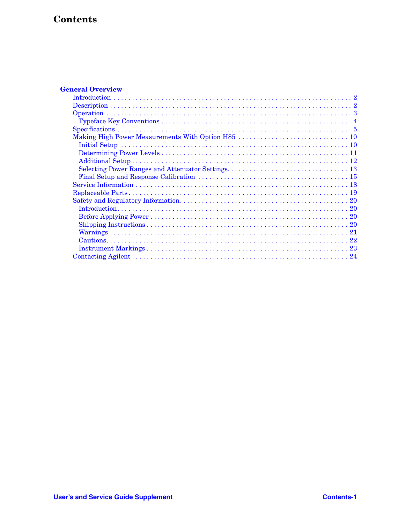# Contents

| <b>General Overview</b> |
|-------------------------|
|                         |
|                         |
|                         |
|                         |
|                         |
|                         |
|                         |
|                         |
|                         |
|                         |
|                         |
|                         |
|                         |
|                         |
|                         |
|                         |
|                         |
|                         |
|                         |
|                         |
|                         |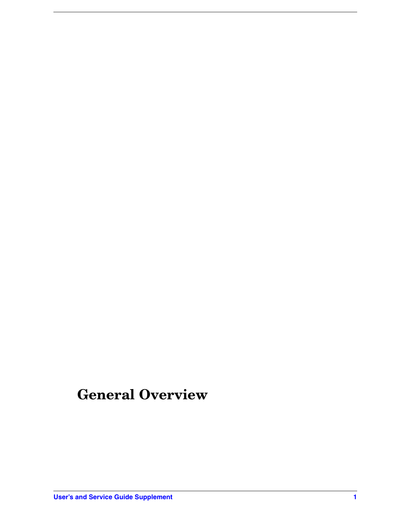# <span id="page-4-0"></span>**General Overview**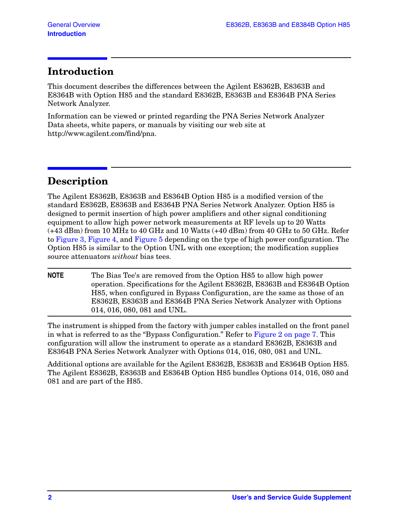## <span id="page-5-0"></span>**Introduction**

This document describes the differences between the Agilent E8362B, E8363B and E8364B with Option H85 and the standard E8362B, E8363B and E8364B PNA Series Network Analyzer.

Information can be viewed or printed regarding the PNA Series Network Analyzer Data sheets, white papers, or manuals by visiting our web site at http://www.agilent.com/find/pna.

# <span id="page-5-1"></span>**Description**

The Agilent E8362B, E8363B and E8364B Option H85 is a modified version of the standard E8362B, E8363B and E8364B PNA Series Network Analyzer. Option H85 is designed to permit insertion of high power amplifiers and other signal conditioning equipment to allow high power network measurements at RF levels up to 20 Watts (+43 dBm) from 10 MHz to 40 GHz and 10 Watts (+40 dBm) from 40 GHz to 50 GHz. Refer to [Figure 3](#page-11-0), [Figure 4,](#page-12-0) and [Figure 5](#page-12-1) depending on the type of high power configuration. The Option H85 is similar to the Option UNL with one exception; the modification supplies source attenuators *without* bias tees.

**NOTE** The Bias Tee's are removed from the Option H85 to allow high power operation. Specifications for the Agilent E8362B, E8363B and E8364B Option H85, when configured in Bypass Configuration, are the same as those of an E8362B, E8363B and E8364B PNA Series Network Analyzer with Options 014, 016, 080, 081 and UNL.

The instrument is shipped from the factory with jumper cables installed on the front panel in what is referred to as the "Bypass Configuration." Refer to [Figure 2 on page 7](#page-10-0). This configuration will allow the instrument to operate as a standard E8362B, E8363B and E8364B PNA Series Network Analyzer with Options 014, 016, 080, 081 and UNL.

Additional options are available for the Agilent E8362B, E8363B and E8364B Option H85. The Agilent E8362B, E8363B and E8364B Option H85 bundles Options 014, 016, 080 and 081 and are part of the H85.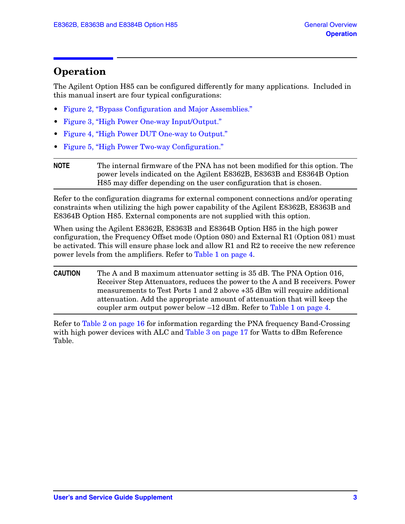### <span id="page-6-0"></span>**Operation**

The Agilent Option H85 can be configured differently for many applications. Included in this manual insert are four typical configurations:

- [Figure 2, "Bypass Configuration and Major Assemblies."](#page-10-0)
- [Figure 3, "High Power One-way Input/Output."](#page-11-0)
- [Figure 4, "High Power DUT One-way to Output."](#page-12-0)
- [Figure 5, "High Power Two-way Configuration."](#page-12-1)

Refer to the configuration diagrams for external component connections and/or operating constraints when utilizing the high power capability of the Agilent E8362B, E8363B and E8364B Option H85. External components are not supplied with this option.

When using the Agilent E8362B, E8363B and E8364B Option H85 in the high power configuration, the Frequency Offset mode (Option 080) and External R1 (Option 081) must be activated. This will ensure phase lock and allow R1 and R2 to receive the new reference power levels from the amplifiers. Refer to [Table 1 on page 4](#page-7-1).

**CAUTION** The A and B maximum attenuator setting is 35 dB. The PNA Option 016, Receiver Step Attenuators, reduces the power to the A and B receivers. Power measurements to Test Ports 1 and 2 above +35 dBm will require additional attenuation. Add the appropriate amount of attenuation that will keep the coupler arm output power below  $-12$  dBm. Refer to [Table 1 on page 4](#page-7-1).

Refer to [Table 2 on page 16](#page-19-0) for information regarding the PNA frequency Band-Crossing with high power devices with ALC and [Table 3 on page 17](#page-20-0) for Watts to dBm Reference Table.

**NOTE** The internal firmware of the PNA has not been modified for this option. The power levels indicated on the Agilent E8362B, E8363B and E8364B Option H85 may differ depending on the user configuration that is chosen.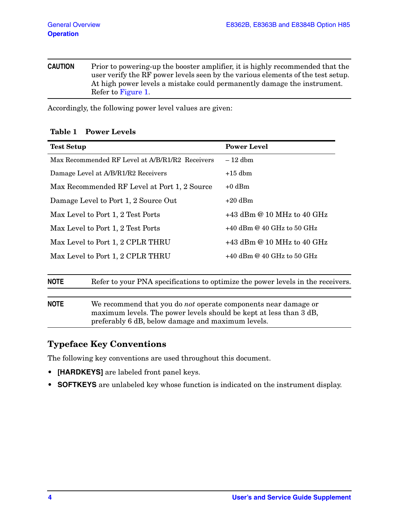**CAUTION** Prior to powering-up the booster amplifier, it is highly recommended that the user verify the RF power levels seen by the various elements of the test setup. At high power levels a mistake could permanently damage the instrument. Refer to [Figure 1](#page-9-0).

<span id="page-7-1"></span>Accordingly, the following power level values are given:

#### **Table 1 Power Levels**

| <b>Test Setup</b>                                                                              | <b>Power Level</b>           |  |
|------------------------------------------------------------------------------------------------|------------------------------|--|
| Max Recommended RF Level at A/B/R1/R2 Receivers                                                | $-12$ dbm                    |  |
| Damage Level at A/B/R1/R2 Receivers                                                            | $+15$ dbm                    |  |
| Max Recommended RF Level at Port 1, 2 Source                                                   | $+0$ dBm                     |  |
| Damage Level to Port 1, 2 Source Out                                                           | $+20$ dBm                    |  |
| Max Level to Port 1, 2 Test Ports                                                              | $+43$ dBm @ 10 MHz to 40 GHz |  |
| Max Level to Port 1, 2 Test Ports                                                              | $+40$ dBm @ 40 GHz to 50 GHz |  |
| Max Level to Port 1, 2 CPLR THRU                                                               | $+43$ dBm @ 10 MHz to 40 GHz |  |
| Max Level to Port 1, 2 CPLR THRU                                                               | $+40$ dBm @ 40 GHz to 50 GHz |  |
|                                                                                                |                              |  |
| Refer to your PNA specifications to optimize the power levels in the receivers.<br><b>NOTE</b> |                              |  |

| <b>NOTE</b> | We recommend that you do <i>not</i> operate components near damage or |
|-------------|-----------------------------------------------------------------------|
|             | maximum levels. The power levels should be kept at less than 3 dB,    |
|             | preferably 6 dB, below damage and maximum levels.                     |

### <span id="page-7-0"></span>**Typeface Key Conventions**

The following key conventions are used throughout this document.

- **[HARDKEYS]** are labeled front panel keys.
- **SOFTKEYS** are unlabeled key whose function is indicated on the instrument display.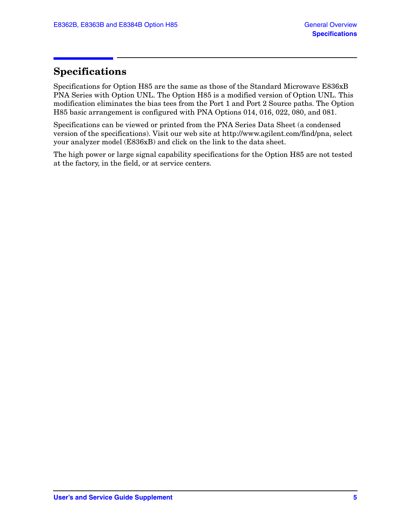### <span id="page-8-0"></span>**Specifications**

Specifications for Option H85 are the same as those of the Standard Microwave E836xB PNA Series with Option UNL. The Option H85 is a modified version of Option UNL. This modification eliminates the bias tees from the Port 1 and Port 2 Source paths. The Option H85 basic arrangement is configured with PNA Options 014, 016, 022, 080, and 081.

Specifications can be viewed or printed from the PNA Series Data Sheet (a condensed version of the specifications). Visit our web site at http://www.agilent.com/find/pna, select your analyzer model (E836xB) and click on the link to the data sheet.

The high power or large signal capability specifications for the Option H85 are not tested at the factory, in the field, or at service centers.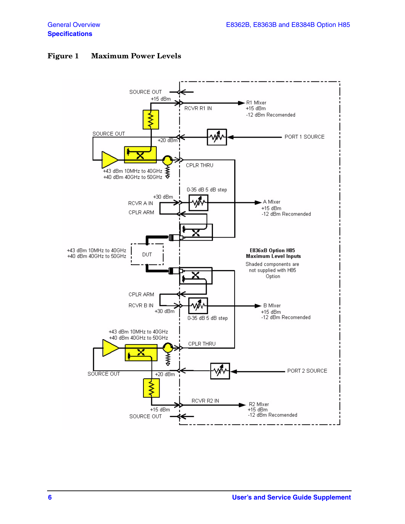#### <span id="page-9-0"></span>**Figure 1 Maximum Power Levels**

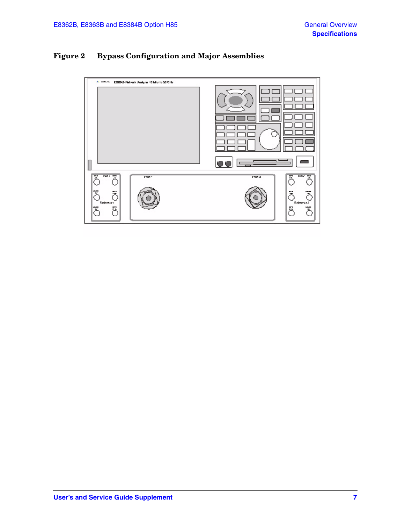### <span id="page-10-0"></span>**Figure 2 Bypass Configuration and Major Assemblies**

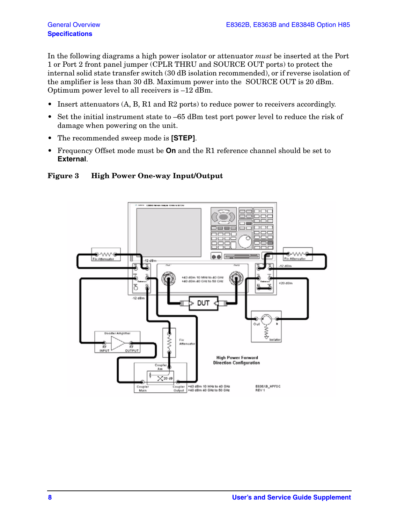In the following diagrams a high power isolator or attenuator *must* be inserted at the Port 1 or Port 2 front panel jumper (CPLR THRU and SOURCE OUT ports) to protect the internal solid state transfer switch (30 dB isolation recommended), or if reverse isolation of the amplifier is less than 30 dB. Maximum power into the SOURCE OUT is 20 dBm. Optimum power level to all receivers is –12 dBm.

- Insert attenuators  $(A, B, R1$  and  $R2$  ports) to reduce power to receivers accordingly.
- Set the initial instrument state to  $-65$  dBm test port power level to reduce the risk of damage when powering on the unit.
- The recommended sweep mode is **[STEP]**.
- Frequency Offset mode must be **On** and the R1 reference channel should be set to **External**.

#### <span id="page-11-0"></span>**Figure 3 High Power One-way Input/Output**

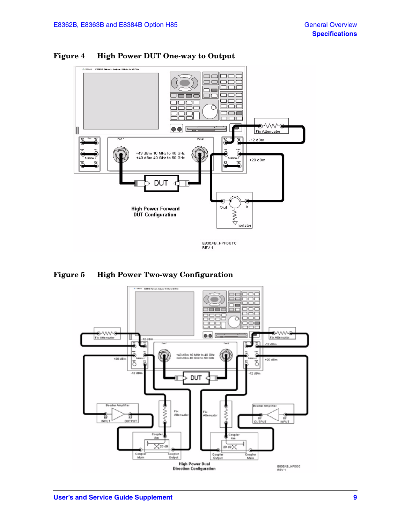![](_page_12_Figure_2.jpeg)

#### <span id="page-12-0"></span>**Figure 4 High Power DUT One-way to Output**

<span id="page-12-1"></span>**Figure 5 High Power Two-way Configuration** 

![](_page_12_Figure_5.jpeg)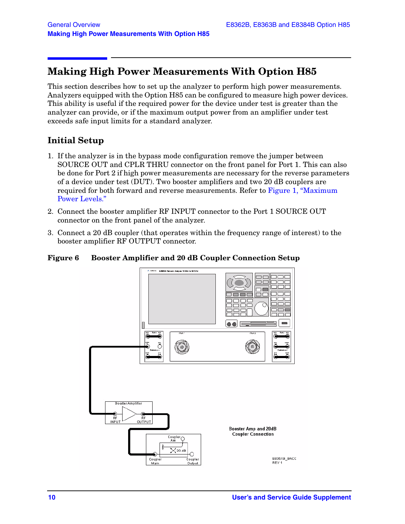### <span id="page-13-0"></span>**Making High Power Measurements With Option H85**

This section describes how to set up the analyzer to perform high power measurements. Analyzers equipped with the Option H85 can be configured to measure high power devices. This ability is useful if the required power for the device under test is greater than the analyzer can provide, or if the maximum output power from an amplifier under test exceeds safe input limits for a standard analyzer.

### <span id="page-13-1"></span>**Initial Setup**

- 1. If the analyzer is in the bypass mode configuration remove the jumper between SOURCE OUT and CPLR THRU connector on the front panel for Port 1. This can also be done for Port 2 if high power measurements are necessary for the reverse parameters of a device under test (DUT). Two booster amplifiers and two 20 dB couplers are required for both forward and reverse measurements. Refer to [Figure 1, "Maximum](#page-9-0)  [Power Levels."](#page-9-0)
- 2. Connect the booster amplifier RF INPUT connector to the Port 1 SOURCE OUT connector on the front panel of the analyzer.
- 3. Connect a 20 dB coupler (that operates within the frequency range of interest) to the booster amplifier RF OUTPUT connector.

#### **Figure 6 Booster Amplifier and 20 dB Coupler Connection Setup**

![](_page_13_Figure_9.jpeg)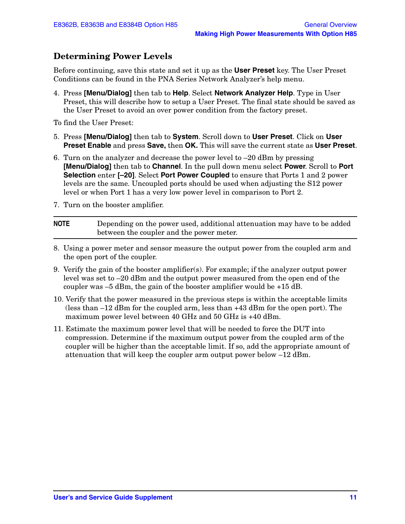### <span id="page-14-0"></span>**Determining Power Levels**

Before continuing, save this state and set it up as the **User Preset** key. The User Preset Conditions can be found in the PNA Series Network Analyzer's help menu.

4. Press **[Menu/Dialog]** then tab to **Help**. Select **Network Analyzer Help**. Type in User Preset, this will describe how to setup a User Preset. The final state should be saved as the User Preset to avoid an over power condition from the factory preset.

To find the User Preset:

- 5. Press **[Menu/Dialog]** then tab to **System**. Scroll down to **User Preset**. Click on **User Preset Enable** and press **Save,** then **OK.** This will save the current state as **User Preset**.
- 6. Turn on the analyzer and decrease the power level to –20 dBm by pressing **[Menu/Dialog]** then tab to **Channel**. In the pull down menu select **Power**. Scroll to **Port Selection** enter **[–20]**. Select **Port Power Coupled** to ensure that Ports 1 and 2 power levels are the same. Uncoupled ports should be used when adjusting the S12 power level or when Port 1 has a very low power level in comparison to Port 2.
- 7. Turn on the booster amplifier.

| <b>NOTE</b> | Depending on the power used, additional attenuation may have to be added |
|-------------|--------------------------------------------------------------------------|
|             | between the coupler and the power meter.                                 |

- 8. Using a power meter and sensor measure the output power from the coupled arm and the open port of the coupler.
- 9. Verify the gain of the booster amplifier(s). For example; if the analyzer output power level was set to –20 dBm and the output power measured from the open end of the coupler was  $-5$  dBm, the gain of the booster amplifier would be  $+15$  dB.
- 10. Verify that the power measured in the previous steps is within the acceptable limits (less than –12 dBm for the coupled arm, less than +43 dBm for the open port). The maximum power level between 40 GHz and 50 GHz is +40 dBm.
- 11. Estimate the maximum power level that will be needed to force the DUT into compression. Determine if the maximum output power from the coupled arm of the coupler will be higher than the acceptable limit. If so, add the appropriate amount of attenuation that will keep the coupler arm output power below –12 dBm.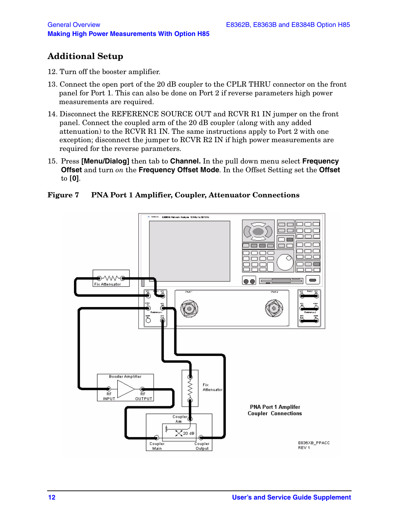### <span id="page-15-0"></span>**Additional Setup**

- 12. Turn off the booster amplifier.
- 13. Connect the open port of the 20 dB coupler to the CPLR THRU connector on the front panel for Port 1. This can also be done on Port 2 if reverse parameters high power measurements are required.
- 14. Disconnect the REFERENCE SOURCE OUT and RCVR R1 IN jumper on the front panel. Connect the coupled arm of the 20 dB coupler (along with any added attenuation) to the RCVR R1 IN. The same instructions apply to Port 2 with one exception; disconnect the jumper to RCVR R2 IN if high power measurements are required for the reverse parameters.
- 15. Press **[Menu/Dialog]** then tab to **Channel.** In the pull down menu select **Frequency Offset** and turn *on* the **Frequency Offset Mode**. In the Offset Setting set the **Offset** to **[0]**.

#### **Figure 7 PNA Port 1 Amplifier, Coupler, Attenuator Connections**

![](_page_15_Figure_8.jpeg)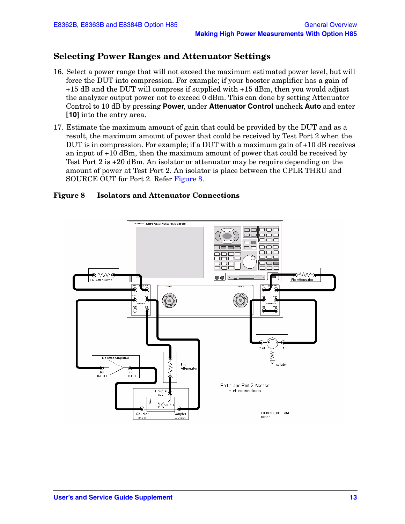### <span id="page-16-0"></span>**Selecting Power Ranges and Attenuator Settings**

- 16. Select a power range that will not exceed the maximum estimated power level, but will force the DUT into compression. For example; if your booster amplifier has a gain of +15 dB and the DUT will compress if supplied with +15 dBm, then you would adjust the analyzer output power not to exceed 0 dBm. This can done by setting Attenuator Control to 10 dB by pressing **Power**, under **Attenuator Control** uncheck **Auto** and enter **[10]** into the entry area.
- 17. Estimate the maximum amount of gain that could be provided by the DUT and as a result, the maximum amount of power that could be received by Test Port 2 when the DUT is in compression. For example; if a DUT with a maximum gain of +10 dB receives an input of +10 dBm, then the maximum amount of power that could be received by Test Port 2 is +20 dBm. An isolator or attenuator may be require depending on the amount of power at Test Port 2. An isolator is place between the CPLR THRU and SOURCE OUT for Port 2. Refer [Figure 8](#page-16-1).

#### <span id="page-16-1"></span>**Figure 8 Isolators and Attenuator Connections**

![](_page_16_Figure_6.jpeg)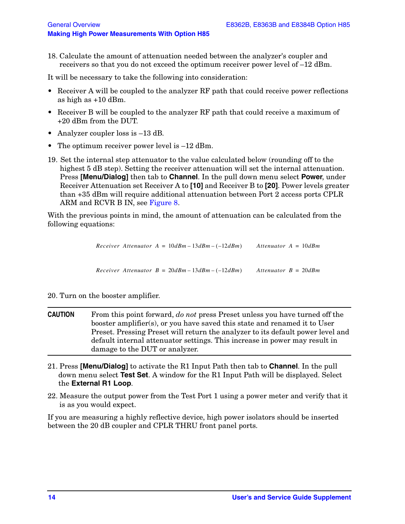18. Calculate the amount of attenuation needed between the analyzer's coupler and receivers so that you do not exceed the optimum receiver power level of –12 dBm.

It will be necessary to take the following into consideration:

- Receiver A will be coupled to the analyzer RF path that could receive power reflections as high as +10 dBm.
- Receiver B will be coupled to the analyzer RF path that could receive a maximum of +20 dBm from the DUT.
- Analyzer coupler loss is  $-13$  dB.
- The optimum receiver power level is  $-12$  dBm.
- 19. Set the internal step attenuator to the value calculated below (rounding off to the highest 5 dB step). Setting the receiver attenuation will set the internal attenuation. Press **[Menu/Dialog]** then tab to **Channel**. In the pull down menu select **Power**, under Receiver Attenuation set Receiver A to **[10]** and Receiver B to **[20]**. Power levels greater than +35 dBm will require additional attenuation between Port 2 access ports CPLR ARM and RCVR B IN, see [Figure 8.](#page-16-1)

With the previous points in mind, the amount of attenuation can be calculated from the following equations:

|  | Receiver Attenuator $A = 10dBm - 13dBm - (-12dBm)$ | Attenuator $A = 10dBm$  |
|--|----------------------------------------------------|-------------------------|
|  |                                                    |                         |
|  |                                                    |                         |
|  | Receiver Attenuator $B = 20dBm - 13dBm - (-12dBm)$ | Attenuator $B = 20$ dBm |

#### 20. Turn on the booster amplifier.

- **CAUTION** From this point forward, *do not* press Preset unless you have turned off the booster amplifier(s), or you have saved this state and renamed it to User Preset. Pressing Preset will return the analyzer to its default power level and default internal attenuator settings. This increase in power may result in damage to the DUT or analyzer.
- 21. Press **[Menu/Dialog]** to activate the R1 Input Path then tab to **Channel**. In the pull down menu select **Test Set**. A window for the R1 Input Path will be displayed. Select the **External R1 Loop**.
- 22. Measure the output power from the Test Port 1 using a power meter and verify that it is as you would expect.

If you are measuring a highly reflective device, high power isolators should be inserted between the 20 dB coupler and CPLR THRU front panel ports.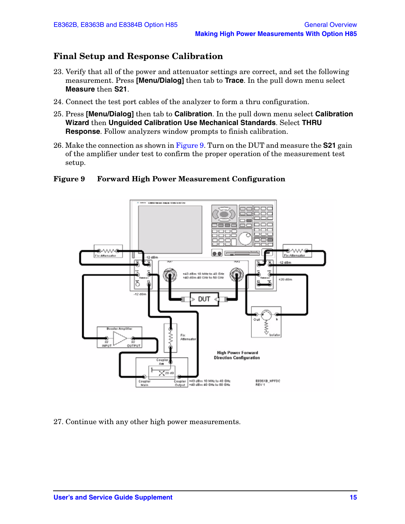### <span id="page-18-0"></span>**Final Setup and Response Calibration**

- 23. Verify that all of the power and attenuator settings are correct, and set the following measurement. Press **[Menu/Dialog]** then tab to **Trace**. In the pull down menu select **Measure** then **S21**.
- 24. Connect the test port cables of the analyzer to form a thru configuration.
- 25. Press **[Menu/Dialog]** then tab to **Calibration**. In the pull down menu select **Calibration Wizard** then **Unguided Calibration Use Mechanical Standards**. Select **THRU Response**. Follow analyzers window prompts to finish calibration.
- 26. Make the connection as shown in [Figure 9](#page-18-1). Turn on the DUT and measure the **S21** gain of the amplifier under test to confirm the proper operation of the measurement test setup.

#### <span id="page-18-1"></span>**Figure 9 Forward High Power Measurement Configuration**

![](_page_18_Figure_8.jpeg)

27. Continue with any other high power measurements.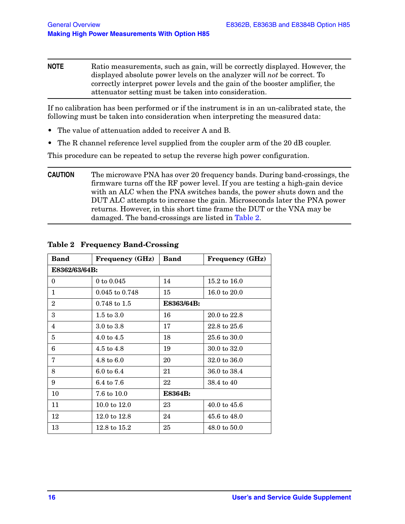**NOTE** Ratio measurements, such as gain, will be correctly displayed. However, the displayed absolute power levels on the analyzer will *not* be correct. To correctly interpret power levels and the gain of the booster amplifier, the attenuator setting must be taken into consideration.

If no calibration has been performed or if the instrument is in an un-calibrated state, the following must be taken into consideration when interpreting the measured data:

- The value of attenuation added to receiver A and B.
- The R channel reference level supplied from the coupler arm of the 20 dB coupler.

This procedure can be repeated to setup the reverse high power configuration.

**CAUTION** The microwave PNA has over 20 frequency bands. During band-crossings, the firmware turns off the RF power level. If you are testing a high-gain device with an ALC when the PNA switches bands, the power shuts down and the DUT ALC attempts to increase the gain. Microseconds later the PNA power returns. However, in this short time frame the DUT or the VNA may be damaged. The band-crossings are listed in [Table 2](#page-19-0).

| <b>Band</b>    | <b>Frequency (GHz)</b>  | <b>Band</b>    | <b>Frequency (GHz)</b>  |  |
|----------------|-------------------------|----------------|-------------------------|--|
| E8362/63/64B:  |                         |                |                         |  |
| $\Omega$       | 0 to $0.045$            | 14             | $15.2 \text{ to } 16.0$ |  |
| 1              | 0.045 to 0.748          | 15             | 16.0 to 20.0            |  |
| $\overline{2}$ | $0.748 \text{ to } 1.5$ | E8363/64B:     |                         |  |
| 3              | $1.5 \text{ to } 3.0$   | 16             | 20.0 to 22.8            |  |
| 4              | $3.0 \text{ to } 3.8$   | 17             | 22.8 to 25.6            |  |
| 5              | $4.0 \text{ to } 4.5$   | 18             | 25.6 to 30.0            |  |
| 6              | 4.5 to $4.8$            | 19             | 30.0 to 32.0            |  |
| $\overline{7}$ | $4.8 \text{ to } 6.0$   | 20             | 32.0 to 36.0            |  |
| 8              | $6.0 \text{ to } 6.4$   | 21             | 36.0 to 38.4            |  |
| 9              | 6.4 to 7.6              | 22             | 38.4 to 40              |  |
| 10             | 7.6 to 10.0             | <b>E8364B:</b> |                         |  |
| 11             | $10.0 \text{ to } 12.0$ | 23             | $40.0 \text{ to } 45.6$ |  |
| 12             | $12.0 \text{ to } 12.8$ | 24             | 45.6 to 48.0            |  |
| 13             | $12.8 \text{ to } 15.2$ | 25             | $48.0 \text{ to } 50.0$ |  |

#### <span id="page-19-0"></span>**Table 2 Frequency Band-Crossing**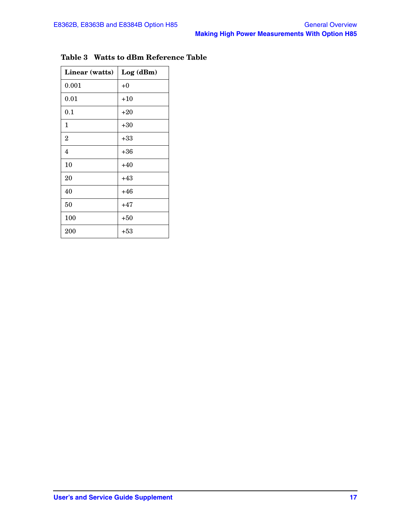| Linear (watts) | Log(dBm) |
|----------------|----------|
| 0.001          | $+0$     |
| 0.01           | $+10$    |
| 0.1            | $+20$    |
| 1              | $+30$    |
| $\overline{2}$ | $+33$    |
| 4              | $+36$    |
| 10             | $+40$    |
| 20             | $+43$    |
| 40             | $+46$    |
| 50             | $+47$    |
| 100            | $+50$    |
| 200            | $+53$    |

### <span id="page-20-0"></span>**Table 3 Watts to dBm Reference Table**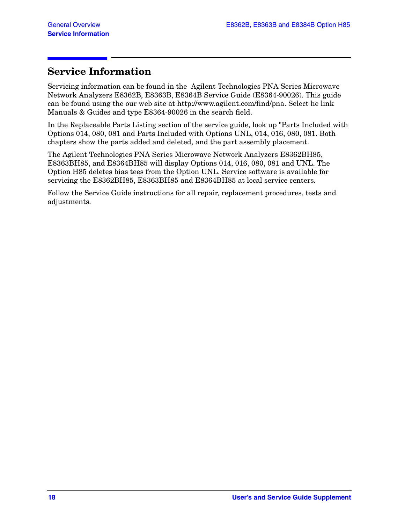## <span id="page-21-0"></span>**Service Information**

Servicing information can be found in the Agilent Technologies PNA Series Microwave Network Analyzers E8362B, E8363B, E8364B Service Guide (E8364-90026). This guide can be found using the our web site at http://www.agilent.com/find/pna. Select he link Manuals & Guides and type E8364-90026 in the search field.

In the Replaceable Parts Listing section of the service guide, look up "Parts Included with Options 014, 080, 081 and Parts Included with Options UNL, 014, 016, 080, 081. Both chapters show the parts added and deleted, and the part assembly placement.

The Agilent Technologies PNA Series Microwave Network Analyzers E8362BH85, E8363BH85, and E8364BH85 will display Options 014, 016, 080, 081 and UNL. The Option H85 deletes bias tees from the Option UNL. Service software is available for servicing the E8362BH85, E8363BH85 and E8364BH85 at local service centers.

Follow the Service Guide instructions for all repair, replacement procedures, tests and adjustments.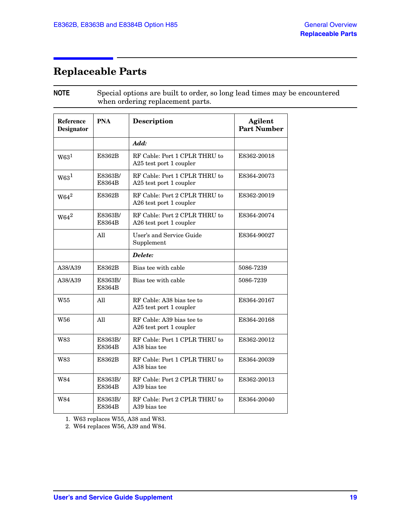# <span id="page-22-0"></span>**Replaceable Parts**

**NOTE** Special options are built to order, so long lead times may be encountered when ordering replacement parts.

<span id="page-22-2"></span><span id="page-22-1"></span>

| Reference<br><b>Designator</b> | <b>PNA</b>        | <b>Description</b>                                       | Agilent<br><b>Part Number</b> |
|--------------------------------|-------------------|----------------------------------------------------------|-------------------------------|
|                                |                   | Add:                                                     |                               |
| W63 <sup>1</sup>               | E8362B            | RF Cable: Port 1 CPLR THRU to<br>A25 test port 1 coupler | E8362-20018                   |
| W63 <sup>1</sup>               | E8363B/<br>E8364B | RF Cable: Port 1 CPLR THRU to<br>A25 test port 1 coupler | E8364-20073                   |
| $W64^2$                        | E8362B            | RF Cable: Port 2 CPLR THRU to<br>A26 test port 1 coupler | E8362-20019                   |
| $W64^2$                        | E8363B/<br>E8364B | RF Cable: Port 2 CPLR THRU to<br>A26 test port 1 coupler | E8364-20074                   |
|                                | All               | User's and Service Guide<br>Supplement                   | E8364-90027                   |
|                                |                   | Delete:                                                  |                               |
| A38/A39                        | E8362B            | Bias tee with cable                                      | 5086-7239                     |
| A38/A39                        | E8363B/<br>E8364B | Bias tee with cable                                      | 5086-7239                     |
| W55                            | All               | RF Cable: A38 bias tee to<br>A25 test port 1 coupler     | E8364-20167                   |
| W56                            | All               | RF Cable: A39 bias tee to<br>A26 test port 1 coupler     | E8364-20168                   |
| W83                            | E8363B/<br>E8364B | RF Cable: Port 1 CPLR THRU to<br>A38 bias tee            | E8362-20012                   |
| <b>W83</b>                     | E8362B            | RF Cable: Port 1 CPLR THRU to<br>A38 bias tee            | E8364-20039                   |
| W84                            | E8363B/<br>E8364B | RF Cable: Port 2 CPLR THRU to<br>A39 bias tee            | E8362-20013                   |
| <b>W84</b>                     | E8363B/<br>E8364B | RF Cable: Port 2 CPLR THRU to<br>A39 bias tee            | E8364-20040                   |

1. W63 replaces W55, A38 and W83.

2. W64 replaces W56, A39 and W84.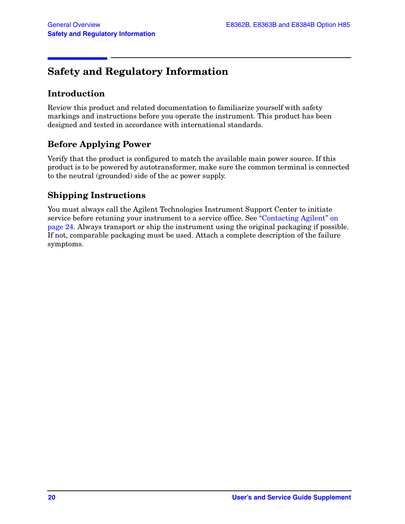# <span id="page-23-0"></span>**Safety and Regulatory Information**

### <span id="page-23-1"></span>**Introduction**

Review this product and related documentation to familiarize yourself with safety markings and instructions before you operate the instrument. This product has been designed and tested in accordance with international standards.

### <span id="page-23-2"></span>**Before Applying Power**

Verify that the product is configured to match the available main power source. If this product is to be powered by autotransformer, make sure the common terminal is connected to the neutral (grounded) side of the ac power supply.

### <span id="page-23-3"></span>**Shipping Instructions**

You must always call the Agilent Technologies Instrument Support Center to initiate service before retuning your instrument to a service office. See ["Contacting Agilent" on](#page-27-1)  [page 24](#page-27-1). Always transport or ship the instrument using the original packaging if possible. If not, comparable packaging must be used. Attach a complete description of the failure symptoms.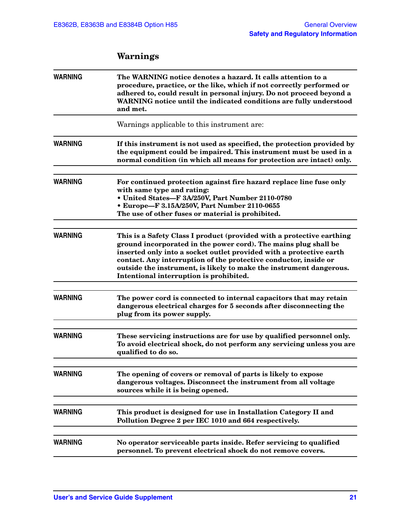<span id="page-24-0"></span>

| <b>WARNING</b> | The WARNING notice denotes a hazard. It calls attention to a<br>procedure, practice, or the like, which if not correctly performed or<br>adhered to, could result in personal injury. Do not proceed beyond a<br>WARNING notice until the indicated conditions are fully understood<br>and met.                                                                                                       |
|----------------|-------------------------------------------------------------------------------------------------------------------------------------------------------------------------------------------------------------------------------------------------------------------------------------------------------------------------------------------------------------------------------------------------------|
|                | Warnings applicable to this instrument are:                                                                                                                                                                                                                                                                                                                                                           |
| <b>WARNING</b> | If this instrument is not used as specified, the protection provided by<br>the equipment could be impaired. This instrument must be used in a<br>normal condition (in which all means for protection are intact) only.                                                                                                                                                                                |
| <b>WARNING</b> | For continued protection against fire hazard replace line fuse only<br>with same type and rating:<br>• United States-F 3A/250V, Part Number 2110-0780<br>• Europe-F 3.15A/250V, Part Number 2110-0655<br>The use of other fuses or material is prohibited.                                                                                                                                            |
| <b>WARNING</b> | This is a Safety Class I product (provided with a protective earthing<br>ground incorporated in the power cord). The mains plug shall be<br>inserted only into a socket outlet provided with a protective earth<br>contact. Any interruption of the protective conductor, inside or<br>outside the instrument, is likely to make the instrument dangerous.<br>Intentional interruption is prohibited. |
| <b>WARNING</b> | The power cord is connected to internal capacitors that may retain<br>dangerous electrical charges for 5 seconds after disconnecting the<br>plug from its power supply.                                                                                                                                                                                                                               |
| <b>WARNING</b> | These servicing instructions are for use by qualified personnel only.<br>To avoid electrical shock, do not perform any servicing unless you are<br>qualified to do so.                                                                                                                                                                                                                                |
| <b>WARNING</b> | The opening of covers or removal of parts is likely to expose<br>dangerous voltages. Disconnect the instrument from all voltage<br>sources while it is being opened.                                                                                                                                                                                                                                  |
| <b>WARNING</b> | This product is designed for use in Installation Category II and<br>Pollution Degree 2 per IEC 1010 and 664 respectively.                                                                                                                                                                                                                                                                             |
| <b>WARNING</b> | No operator serviceable parts inside. Refer servicing to qualified<br>personnel. To prevent electrical shock do not remove covers.                                                                                                                                                                                                                                                                    |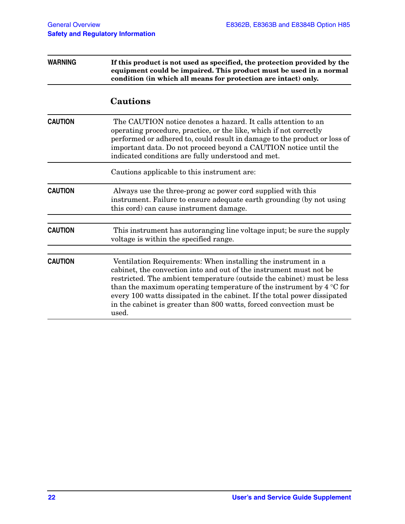<span id="page-25-0"></span>

| <b>WARNING</b> | If this product is not used as specified, the protection provided by the<br>equipment could be impaired. This product must be used in a normal<br>condition (in which all means for protection are intact) only.<br><b>Cautions</b>                                                                                                                                                                                                                        |  |  |
|----------------|------------------------------------------------------------------------------------------------------------------------------------------------------------------------------------------------------------------------------------------------------------------------------------------------------------------------------------------------------------------------------------------------------------------------------------------------------------|--|--|
|                |                                                                                                                                                                                                                                                                                                                                                                                                                                                            |  |  |
| <b>CAUTION</b> | The CAUTION notice denotes a hazard. It calls attention to an<br>operating procedure, practice, or the like, which if not correctly<br>performed or adhered to, could result in damage to the product or loss of<br>important data. Do not proceed beyond a CAUTION notice until the<br>indicated conditions are fully understood and met.                                                                                                                 |  |  |
|                | Cautions applicable to this instrument are:                                                                                                                                                                                                                                                                                                                                                                                                                |  |  |
| <b>CAUTION</b> | Always use the three-prong ac power cord supplied with this<br>instrument. Failure to ensure adequate earth grounding (by not using<br>this cord) can cause instrument damage.                                                                                                                                                                                                                                                                             |  |  |
| <b>CAUTION</b> | This instrument has autoranging line voltage input; be sure the supply<br>voltage is within the specified range.                                                                                                                                                                                                                                                                                                                                           |  |  |
| <b>CAUTION</b> | Ventilation Requirements: When installing the instrument in a<br>cabinet, the convection into and out of the instrument must not be<br>restricted. The ambient temperature (outside the cabinet) must be less<br>than the maximum operating temperature of the instrument by $4^{\circ}$ C for<br>every 100 watts dissipated in the cabinet. If the total power dissipated<br>in the cabinet is greater than 800 watts, forced convection must be<br>used. |  |  |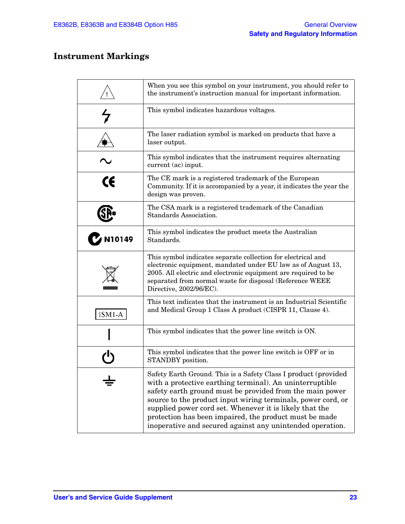### <span id="page-26-0"></span>**Instrument Markings**

|        | When you see this symbol on your instrument, you should refer to<br>the instrument's instruction manual for important information.                                                                                                                                                                                                                                                                                                        |
|--------|-------------------------------------------------------------------------------------------------------------------------------------------------------------------------------------------------------------------------------------------------------------------------------------------------------------------------------------------------------------------------------------------------------------------------------------------|
|        | This symbol indicates hazardous voltages.                                                                                                                                                                                                                                                                                                                                                                                                 |
|        | The laser radiation symbol is marked on products that have a<br>laser output.                                                                                                                                                                                                                                                                                                                                                             |
|        | This symbol indicates that the instrument requires alternating<br>current (ac) input.                                                                                                                                                                                                                                                                                                                                                     |
| CE     | The CE mark is a registered trademark of the European<br>Community. If it is accompanied by a year, it indicates the year the<br>design was proven.                                                                                                                                                                                                                                                                                       |
|        | The CSA mark is a registered trademark of the Canadian<br>Standards Association.                                                                                                                                                                                                                                                                                                                                                          |
| N10149 | This symbol indicates the product meets the Australian<br>Standards.                                                                                                                                                                                                                                                                                                                                                                      |
|        | This symbol indicates separate collection for electrical and<br>electronic equipment, mandated under EU law as of August 13,<br>2005. All electric and electronic equipment are required to be<br>separated from normal waste for disposal (Reference WEEE<br>Directive, 2002/96/EC).                                                                                                                                                     |
| ISM1-A | This text indicates that the instrument is an Industrial Scientific<br>and Medical Group 1 Class A product (CISPR 11, Clause 4).                                                                                                                                                                                                                                                                                                          |
|        | This symbol indicates that the power line switch is ON.                                                                                                                                                                                                                                                                                                                                                                                   |
|        | This symbol indicates that the power line switch is OFF or in<br>STANDBY position.                                                                                                                                                                                                                                                                                                                                                        |
|        | Safety Earth Ground. This is a Safety Class I product (provided<br>with a protective earthing terminal). An uninterruptible<br>safety earth ground must be provided from the main power<br>source to the product input wiring terminals, power cord, or<br>supplied power cord set. Whenever it is likely that the<br>protection has been impaired, the product must be made<br>inoperative and secured against any unintended operation. |